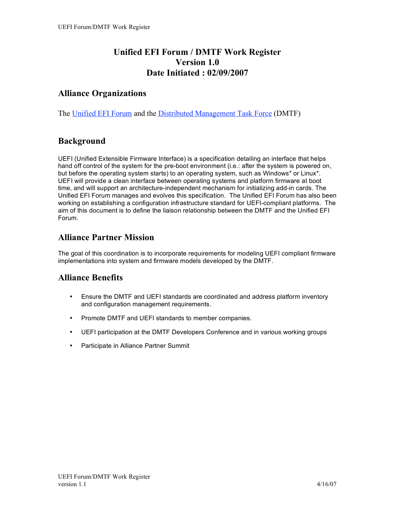## **Unified EFI Forum / DMTF Work Register Version 1.0 Date Initiated : 02/09/2007**

## **Alliance Organizations**

The Unified EFI Forum and the Distributed Management Task Force (DMTF)

## **Background**

UEFI (Unified Extensible Firmware Interface) is a specification detailing an interface that helps hand off control of the system for the pre-boot environment (i.e.: after the system is powered on, but before the operating system starts) to an operating system, such as Windows\* or Linux\*. UEFI will provide a clean interface between operating systems and platform firmware at boot time, and will support an architecture-independent mechanism for initializing add-in cards. The Unified EFI Forum manages and evolves this specification. The Unified EFI Forum has also been working on establishing a configuration infrastructure standard for UEFI-compliant platforms. The aim of this document is to define the liaison relationship between the DMTF and the Unified EFI Forum.

#### **Alliance Partner Mission**

The goal of this coordination is to incorporate requirements for modeling UEFI compliant firmware implementations into system and firmware models developed by the DMTF.

#### **Alliance Benefits**

- Ensure the DMTF and UEFI standards are coordinated and address platform inventory and configuration management requirements.
- Promote DMTF and UEFI standards to member companies.
- UEFI participation at the DMTF Developers Conference and in various working groups
- Participate in Alliance Partner Summit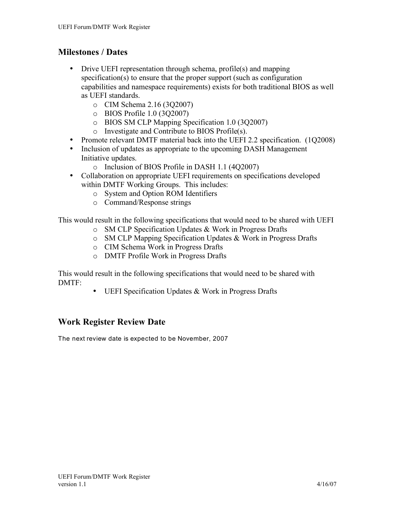## **Milestones / Dates**

- Drive UEFI representation through schema, profile(s) and mapping specification(s) to ensure that the proper support (such as configuration capabilities and namespace requirements) exists for both traditional BIOS as well as UEFI standards.
	- o CIM Schema 2.16 (3Q2007)
	- o BIOS Profile 1.0 (3Q2007)
	- o BIOS SM CLP Mapping Specification 1.0 (3Q2007)
	- o Investigate and Contribute to BIOS Profile(s).
- Promote relevant DMTF material back into the UEFI 2.2 specification. (1Q2008)
- Inclusion of updates as appropriate to the upcoming DASH Management Initiative updates.
	- o Inclusion of BIOS Profile in DASH 1.1 (4Q2007)
- Collaboration on appropriate UEFI requirements on specifications developed within DMTF Working Groups. This includes:
	- o System and Option ROM Identifiers
	- o Command/Response strings

This would result in the following specifications that would need to be shared with UEFI

- o SM CLP Specification Updates & Work in Progress Drafts
- o SM CLP Mapping Specification Updates & Work in Progress Drafts
- o CIM Schema Work in Progress Drafts
- o DMTF Profile Work in Progress Drafts

This would result in the following specifications that would need to be shared with DMTF:

• UEFI Specification Updates & Work in Progress Drafts

# **Work Register Review Date**

The next review date is expected to be November, 2007